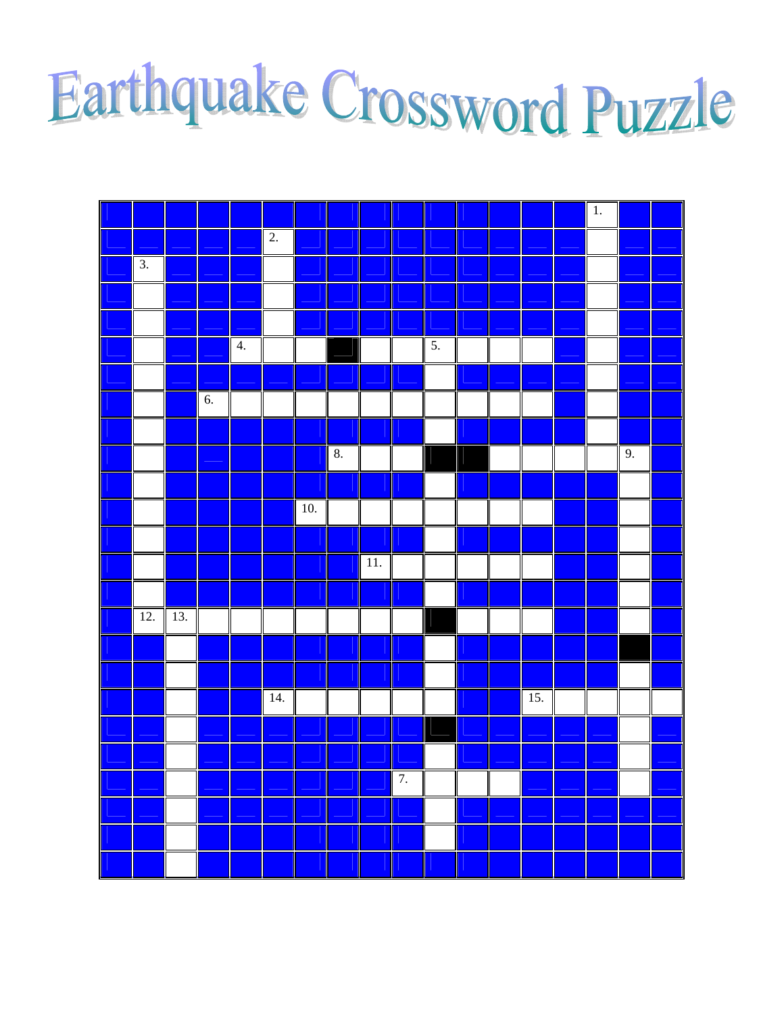## Earthquake Crossword Puzzle

|     |     |    |    |                   |       |          |                   |    |    |  |     | $\overline{1}$ . |    |  |
|-----|-----|----|----|-------------------|-------|----------|-------------------|----|----|--|-----|------------------|----|--|
|     |     |    |    | $\overline{2}$ .  |       |          |                   |    |    |  |     |                  |    |  |
| 3.  |     |    |    |                   |       |          |                   |    |    |  |     |                  |    |  |
|     |     |    |    |                   |       |          |                   |    |    |  |     |                  |    |  |
|     |     |    |    |                   |       |          |                   |    |    |  |     |                  |    |  |
|     |     |    | 4. |                   |       |          |                   |    | 5. |  |     |                  |    |  |
|     |     |    |    |                   |       |          |                   |    |    |  |     |                  |    |  |
|     |     | 6. |    |                   |       |          |                   |    |    |  |     |                  |    |  |
|     |     |    |    |                   |       |          |                   |    |    |  |     |                  |    |  |
|     |     |    |    |                   |       | $\bf 8.$ |                   |    |    |  |     |                  | 9. |  |
|     |     |    |    |                   |       |          |                   |    |    |  |     |                  |    |  |
|     |     |    |    |                   | $10.$ |          |                   |    |    |  |     |                  |    |  |
|     |     |    |    |                   |       |          |                   |    |    |  |     |                  |    |  |
|     |     |    |    |                   |       |          | $\overline{11}$ . |    |    |  |     |                  |    |  |
|     |     |    |    |                   |       |          |                   |    |    |  |     |                  |    |  |
| 12. | 13. |    |    |                   |       |          |                   |    |    |  |     |                  |    |  |
|     |     |    |    |                   |       |          |                   |    |    |  |     |                  |    |  |
|     |     |    |    |                   |       |          |                   |    |    |  |     |                  |    |  |
|     |     |    |    | $\overline{14}$ . |       |          |                   |    |    |  | 15. |                  |    |  |
|     |     |    |    |                   |       |          |                   |    |    |  |     |                  |    |  |
|     |     |    |    |                   |       |          |                   |    |    |  |     |                  |    |  |
|     |     |    |    |                   |       |          |                   | 7. |    |  |     |                  |    |  |
|     |     |    |    |                   |       |          |                   |    |    |  |     |                  |    |  |
|     |     |    |    |                   |       |          |                   |    |    |  |     |                  |    |  |
|     |     |    |    |                   |       |          |                   |    |    |  |     |                  |    |  |